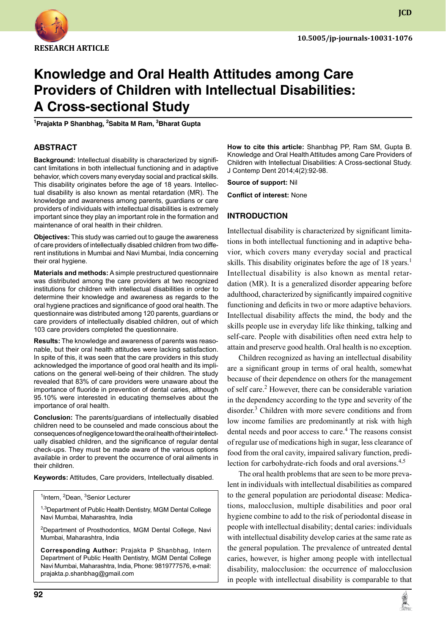

**JCD**

# **Knowledge and Oral Health Attitudes among Care Providers of Children with Intellectual Disabilities: A Cross-sectional Study**

**1 Prajakta P Shanbhag, 2 Sabita M Ram, 3 Bharat Gupta**

#### **ABSTRACT**

**Background:** Intellectual disability is characterized by significant limitations in both intellectual functioning and in adaptive behavior, which covers many everyday social and practical skills. This disability originates before the age of 18 years. Intellectual disability is also known as mental retardation (MR). The knowledge and awareness among parents, guardians or care providers of individuals with intellectual disabilities is extremely important since they play an important role in the formation and maintenance of oral health in their children.

**Objectives:** This study was carried out to gauge the awareness of care providers of intellectually disabled children from two different institutions in Mumbai and Navi Mumbai, India concerning their oral hygiene.

**Materials and methods:** A simple prestructured questionnaire was distributed among the care providers at two recognized institutions for children with intellectual disabilities in order to determine their knowledge and awareness as regards to the oral hygiene practices and significance of good oral health. The questionnaire was distributed among 120 parents, guardians or care providers of intellectually disabled children, out of which 103 care providers completed the questionnaire.

**Results:** The knowledge and awareness of parents was reasonable, but their oral health attitudes were lacking satisfaction. In spite of this, it was seen that the care providers in this study acknowledged the importance of good oral health and its implications on the general well-being of their children. The study revealed that 83% of care providers were unaware about the importance of fluoride in prevention of dental caries, although 95.10% were interested in educating themselves about the importance of oral health.

**Conclusion:** The parents/guardians of intellectually disabled children need to be counseled and made conscious about the consequences of negligence toward the oral health of their intellectually disabled children, and the significance of regular dental check-ups. They must be made aware of the various options available in order to prevent the occurrence of oral ailments in their children.

**Keywords:** Attitudes, Care providers, Intellectually disabled.

<sup>1</sup>Intern, <sup>2</sup>Dean, <sup>3</sup>Senior Lecturer

<sup>1,3</sup>Department of Public Health Dentistry, MGM Dental College Navi Mumbai, Maharashtra, India

<sup>2</sup>Department of Prosthodontics, MGM Dental College, Navi Mumbai, Maharashtra, India

**Corresponding Author:** Prajakta P Shanbhag, Intern Department of Public Health Dentistry, MGM Dental College Navi Mumbai, Maharashtra, India, Phone: 9819777576, e-mail: prajakta.p.shanbhag@gmail.com

**How to cite this article:** Shanbhag PP, Ram SM, Gupta B. Knowledge and Oral Health Attitudes among Care Providers of Children with Intellectual Disabilities: A Cross-sectional Study. J Contemp Dent 2014;4(2):92-98.

**Source of support:** Nil

**Conflict of interest:** None

#### **Introduction**

Intellectual disability is characterized by significant limitations in both intellectual functioning and in adaptive behavior, which covers many everyday social and practical skills. This disability originates before the age of 18 years.<sup>1</sup> Intellectual disability is also known as mental retardation (MR). It is a generalized disorder appearing before adulthood, characterized by significantly impaired cognitive functioning and deficits in two or more adaptive behaviors. Intellectual disability affects the mind, the body and the skills people use in everyday life like thinking, talking and self-care. People with disabilities often need extra help to attain and preserve good health. Oral health is no exception.

Children recognized as having an intellectual disability are a significant group in terms of oral health, somewhat because of their dependence on others for the management of self care.<sup>2</sup> However, there can be considerable variation in the dependency according to the type and severity of the disorder.<sup>3</sup> Children with more severe conditions and from low income families are predominantly at risk with high dental needs and poor access to care.<sup>4</sup> The reasons consist of regular use of medications high in sugar, less clearance of food from the oral cavity, impaired salivary function, predilection for carbohydrate-rich foods and oral aversions.<sup>4,5</sup>

The oral health problems that are seen to be more prevalent in individuals with intellectual disabilities as compared to the general population are periodontal disease: Medications, malocclusion, multiple disabilities and poor oral hygiene combine to add to the risk of periodontal disease in people with intellectual disability; dental caries: individuals with intellectual disability develop caries at the same rate as the general population. The prevalence of untreated dental caries, however, is higher among people with intellectual disability, malocclusion: the occurrence of malocclusion in people with intellectual disability is comparable to that

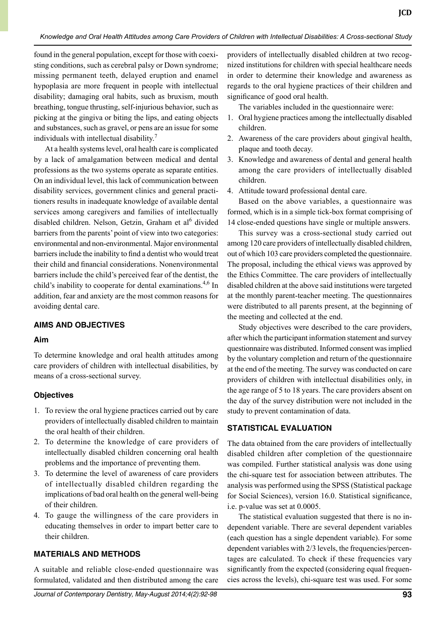*Knowledge and Oral Health Attitudes among Care Providers of Children with Intellectual Disabilities: A Cross-sectional Study*

found in the general population, except for those with coexisting conditions, such as cerebral palsy or Down syndrome; missing permanent teeth, delayed eruption and enamel hypoplasia are more frequent in people with intellectual disability; damaging oral habits, such as bruxism, mouth breathing, tongue thrusting, self-injurious behavior, such as picking at the gingiva or biting the lips, and eating objects and substances, such as gravel, or pens are an issue for some individuals with intellectual disability.<sup>7</sup>

At a health systems level, oral health care is complicated by a lack of amalgamation between medical and dental professions as the two systems operate as separate entities. On an individual level, this lack of communication between disability services, government clinics and general practitioners results in inadequate knowledge of available dental services among caregivers and families of intellectually disabled children. Nelson, Getzin, Graham et al<sup>6</sup> divided barriers from the parents' point of view into two categories: environmental and non-environmental. Major environmental barriers include the inability to find a dentist who would treat their child and financial considerations. Nonenvironmental barriers include the child's perceived fear of the dentist, the child's inability to cooperate for dental examinations.<sup>4,6</sup> In addition, fear and anxiety are the most common reasons for avoiding dental care.

## **AIMs and OBJECTIVES**

## **Aim**

To determine knowledge and oral health attitudes among care providers of children with intellectual disabilities, by means of a cross-sectional survey.

## **Objectives**

- 1. To review the oral hygiene practices carried out by care providers of intellectually disabled children to maintain the oral health of their children.
- 2. To determine the knowledge of care providers of intellectually disabled children concerning oral health problems and the importance of preventing them.
- 3. To determine the level of awareness of care providers of intellectually disabled children regarding the implications of bad oral health on the general well-being of their children.
- 4. To gauge the willingness of the care providers in educating themselves in order to impart better care to their children.

## **MATERIALS and METHODS**

A suitable and reliable close-ended questionnaire was formulated, validated and then distributed among the care providers of intellectually disabled children at two recognized institutions for children with special healthcare needs in order to determine their knowledge and awareness as regards to the oral hygiene practices of their children and significance of good oral health.

**JCD**

The variables included in the questionnaire were:

- 1. Oral hygiene practices among the intellectually disabled children.
- 2. Awareness of the care providers about gingival health, plaque and tooth decay.
- 3. Knowledge and awareness of dental and general health among the care providers of intellectually disabled children.
- 4. Attitude toward professional dental care.

Based on the above variables, a questionnaire was formed, which is in a simple tick-box format comprising of 14 close-ended questions have single or multiple answers.

This survey was a cross-sectional study carried out among 120 care providers of intellectually disabled children, out of which 103 care providers completed the questionnaire. The proposal, including the ethical views was approved by the Ethics Committee. The care providers of intellectually disabled children at the above said institutions were targeted at the monthly parent-teacher meeting. The questionnaires were distributed to all parents present, at the beginning of the meeting and collected at the end.

Study objectives were described to the care providers, after which the participant information statement and survey questionnaire was distributed. Informed consent was implied by the voluntary completion and return of the questionnaire at the end of the meeting. The survey was conducted on care providers of children with intellectual disabilities only, in the age range of 5 to 18 years. The care providers absent on the day of the survey distribution were not included in the study to prevent contamination of data.

## **STATISTICAL EVALUATION**

The data obtained from the care providers of intellectually disabled children after completion of the questionnaire was compiled. Further statistical analysis was done using the chi-square test for association between attributes. The analysis was performed using the SPSS (Statistical package for Social Sciences), version 16.0. Statistical significance, i.e. p-value was set at 0.0005.

The statistical evaluation suggested that there is no independent variable. There are several dependent variables (each question has a single dependent variable). For some dependent variables with 2/3 levels, the frequencies/percentages are calculated. To check if these frequencies vary significantly from the expected (considering equal frequencies across the levels), chi-square test was used. For some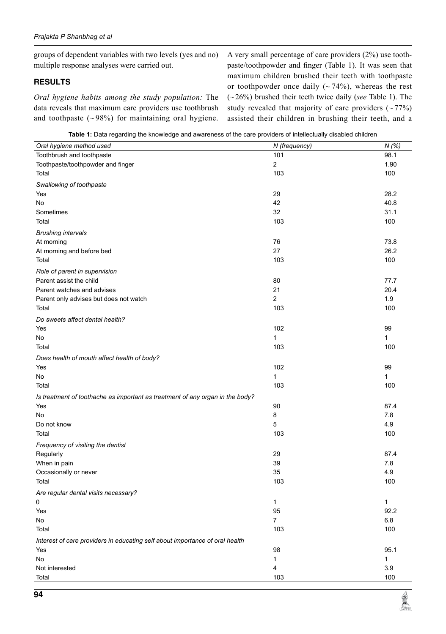groups of dependent variables with two levels (yes and no) multiple response analyses were carried out.

#### **RESULTS**

*Oral hygiene habits among the study population:* The data reveals that maximum care providers use toothbrush and toothpaste  $({\sim}98\%)$  for maintaining oral hygiene. A very small percentage of care providers (2%) use toothpaste/toothpowder and finger (Table 1). It was seen that maximum children brushed their teeth with toothpaste or toothpowder once daily  $({\sim}74\%)$ , whereas the rest (~26%) brushed their teeth twice daily (*see* table 1). The study revealed that majority of care providers  $(-77%)$ assisted their children in brushing their teeth, and a

| Table 1: Data regarding the knowledge and awareness of the care providers of intellectually disabled children |  |
|---------------------------------------------------------------------------------------------------------------|--|
|---------------------------------------------------------------------------------------------------------------|--|

| The parameter and international and and onload on the bare providere or interrottantly alcapted or march<br>Oral hygiene method used | N (frequency)  | N(%)    |
|--------------------------------------------------------------------------------------------------------------------------------------|----------------|---------|
| Toothbrush and toothpaste                                                                                                            | 101            | 98.1    |
| Toothpaste/toothpowder and finger                                                                                                    | 2              | 1.90    |
| Total                                                                                                                                | 103            | 100     |
| Swallowing of toothpaste                                                                                                             |                |         |
| Yes                                                                                                                                  | 29             | 28.2    |
| No                                                                                                                                   | 42             | 40.8    |
| Sometimes                                                                                                                            | 32             | 31.1    |
| Total                                                                                                                                | 103            | 100     |
| <b>Brushing intervals</b>                                                                                                            |                |         |
| At morning                                                                                                                           | 76             | 73.8    |
| At morning and before bed                                                                                                            | 27             | 26.2    |
| Total                                                                                                                                | 103            | 100     |
| Role of parent in supervision                                                                                                        |                |         |
| Parent assist the child                                                                                                              | 80             | 77.7    |
| Parent watches and advises                                                                                                           | 21             | 20.4    |
| Parent only advises but does not watch                                                                                               | 2              | 1.9     |
| Total                                                                                                                                | 103            | 100     |
| Do sweets affect dental health?                                                                                                      |                |         |
| Yes                                                                                                                                  | 102            | 99      |
| No                                                                                                                                   | 1              | 1       |
| Total                                                                                                                                | 103            | 100     |
| Does health of mouth affect health of body?                                                                                          |                |         |
| Yes                                                                                                                                  | 102            | 99      |
| No                                                                                                                                   | 1              | 1       |
| Total                                                                                                                                | 103            | 100     |
| Is treatment of toothache as important as treatment of any organ in the body?                                                        |                |         |
| Yes                                                                                                                                  | 90             | 87.4    |
| No                                                                                                                                   | 8              | 7.8     |
| Do not know                                                                                                                          | 5              | 4.9     |
| Total                                                                                                                                | 103            | 100     |
| Frequency of visiting the dentist                                                                                                    |                |         |
| Regularly                                                                                                                            | 29             | 87.4    |
| When in pain                                                                                                                         | 39             | 7.8     |
| Occasionally or never                                                                                                                | 35             | 4.9     |
| Total                                                                                                                                | 103            | 100     |
| Are regular dental visits necessary?                                                                                                 |                |         |
| 0                                                                                                                                    | 1              | 1       |
| Yes                                                                                                                                  | 95             | 92.2    |
| No                                                                                                                                   | $\overline{7}$ | $6.8\,$ |
| Total                                                                                                                                | 103            | 100     |
| Interest of care providers in educating self about importance of oral health                                                         |                |         |
| Yes                                                                                                                                  | 98             | 95.1    |
| No                                                                                                                                   | 1              | 1       |
| Not interested                                                                                                                       | 4              | 3.9     |
| Total                                                                                                                                | 103            | 100     |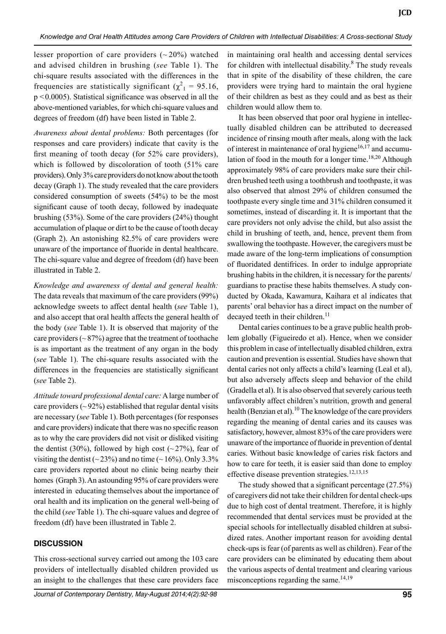lesser proportion of care providers  $({\sim}20\%)$  watched and advised children in brushing (*see* table 1). The chi-square results associated with the differences in the frequencies are statistically significant ( $\chi^2$ <sub>1</sub> = 95.16, p <0.0005). Statistical significance was observed in all the above-mentioned variables, for which chi-square values and degrees of freedom (df) have been listed in Table 2.

*Awareness about dental problems:* Both percentages (for responses and care providers) indicate that cavity is the first meaning of tooth decay (for 52% care providers), which is followed by discoloration of tooth (51% care providers). Only 3% care providers do not know about the tooth decay (Graph 1). The study revealed that the care providers considered consumption of sweets (54%) to be the most significant cause of tooth decay, followed by inadequate brushing (53%). Some of the care providers (24%) thought accumulation of plaque or dirt to be the cause of tooth decay (Graph 2). An astonishing  $82.5\%$  of care providers were unaware of the importance of fluoride in dental healthcare. The chi-square value and degree of freedom (df) have been illustrated in Table 2.

*Knowledge and awareness of dental and general health:*  The data reveals that maximum of the care providers (99%) acknowledge sweets to affect dental health (*see* Table 1), and also accept that oral health affects the general health of the body (*see* Table 1). It is observed that majority of the care providers ( $\sim$  87%) agree that the treatment of toothache is as important as the treatment of any organ in the body (*see* Table 1). The chi-square results associated with the differences in the frequencies are statistically significant (*see* table 2).

*Attitude toward professional dental care:* A large number of care providers  $({\sim}92\%)$  established that regular dental visits are necessary (*see* Table 1). Both percentages (for responses and care providers) indicate that there was no specific reason as to why the care providers did not visit or disliked visiting the dentist (30%), followed by high cost ( $\sim$ 27%), fear of visiting the dentist ( $\sim$  23%) and no time ( $\sim$  16%). Only 3.3% care providers reported about no clinic being nearby their homes (Graph 3). An astounding 95% of care providers were interested in educating themselves about the importance of oral health and its implication on the general well-being of the child (*see* Table 1). The chi-square values and degree of freedom (df) have been illustrated in Table 2.

## **DISCUSSION**

This cross-sectional survey carried out among the 103 care providers of intellectually disabled children provided us an insight to the challenges that these care providers face in maintaining oral health and accessing dental services for children with intellectual disability.<sup>8</sup> The study reveals that in spite of the disability of these children, the care providers were trying hard to maintain the oral hygiene of their children as best as they could and as best as their children would allow them to.

It has been observed that poor oral hygiene in intellectually disabled children can be attributed to decreased incidence of rinsing mouth after meals, along with the lack of interest in maintenance of oral hygiene $16,17$  and accumulation of food in the mouth for a longer time.<sup>18,20</sup> Although approximately 98% of care providers make sure their children brushed teeth using a toothbrush and toothpaste, it was also observed that almost 29% of children consumed the toothpaste every single time and 31% children consumed it sometimes, instead of discarding it. It is important that the care providers not only advise the child, but also assist the child in brushing of teeth, and, hence, prevent them from swallowing the toothpaste. However, the caregivers must be made aware of the long-term implications of consumption of fluoridated dentifrices. In order to indulge appropriate brushing habits in the children, it is necessary for the parents/ guardians to practise these habits themselves. A study conducted by Okada, Kawamura, Kaihara et al indicates that parents' oral behavior has a direct impact on the number of decayed teeth in their children.<sup>11</sup>

 Dental caries continues to be a grave public health problem globally (Figueiredo et al). Hence, when we consider this problem in case of intellectually disabled children, extra caution and prevention is essential. Studies have shown that dental caries not only affects a child's learning (Leal et al), but also adversely affects sleep and behavior of the child (Gradella et al). It is also observed that severely carious teeth unfavorably affect children's nutrition, growth and general health (Benzian et al).<sup>10</sup> The knowledge of the care providers regarding the meaning of dental caries and its causes was satisfactory, however, almost 83% of the care providers were unaware of the importance of fluoride in prevention of dental caries. Without basic knowledge of caries risk factors and how to care for teeth, it is easier said than done to employ effective disease prevention strategies.<sup>12,13,15</sup>

The study showed that a significant percentage (27.5%) of caregivers did not take their children for dental check-ups due to high cost of dental treatment. Therefore, it is highly recommended that dental services must be provided at the special schools for intellectually disabled children at subsidized rates. Another important reason for avoiding dental check-ups is fear (of parents as well as children). Fear of the care providers can be eliminated by educating them about the various aspects of dental treatment and clearing various misconceptions regarding the same.<sup>14,19</sup>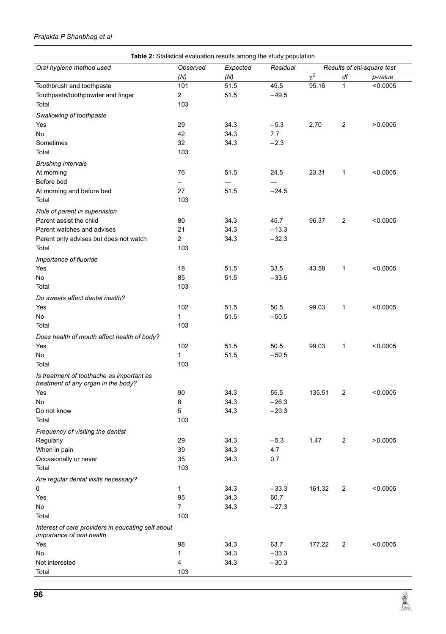### *Prajakta P Shanbhag et al*

|                                                                                 | Table 2: Statistical evaluation results among the study population |              |                 |                            |                |          |
|---------------------------------------------------------------------------------|--------------------------------------------------------------------|--------------|-----------------|----------------------------|----------------|----------|
| Oral hygiene method used                                                        | Observed                                                           | Expected     | Residual        | Results of chi-square test |                |          |
|                                                                                 | (N)                                                                | (N)          |                 | $\overline{\chi^2}$        | df             | p-value  |
| Toothbrush and toothpaste                                                       | 101                                                                | 51.5         | 49.5            | 95.16                      | $\mathbf{1}$   | < 0.0005 |
| Toothpaste/toothpowder and finger                                               | $\overline{c}$                                                     | 51.5         | $-49.5$         |                            |                |          |
| Total                                                                           | 103                                                                |              |                 |                            |                |          |
| Swallowing of toothpaste                                                        |                                                                    |              |                 |                            |                |          |
| Yes                                                                             | 29                                                                 | 34.3         | $-5.3$          | 2.70                       | $\overline{2}$ | >0.0005  |
| No                                                                              | 42                                                                 | 34.3         | 7.7             |                            |                |          |
| Sometimes                                                                       | 32                                                                 | 34.3         | $-2.3$          |                            |                |          |
| Total                                                                           | 103                                                                |              |                 |                            |                |          |
| <b>Brushing intervals</b>                                                       |                                                                    |              |                 |                            |                |          |
| At morning                                                                      | 76                                                                 | 51.5         | 24.5            | 23.31                      | 1              | < 0.0005 |
| Before bed                                                                      |                                                                    |              |                 |                            |                |          |
| At morning and before bed                                                       | 27                                                                 | 51.5         | $-24.5$         |                            |                |          |
| Total                                                                           | 103                                                                |              |                 |                            |                |          |
| Role of parent in supervision                                                   |                                                                    |              |                 |                            |                |          |
| Parent assist the child                                                         | 80                                                                 | 34.3         | 45.7            | 96.37                      | $\overline{2}$ | < 0.0005 |
| Parent watches and advises                                                      | 21                                                                 | 34.3         | $-13.3$         |                            |                |          |
| Parent only advises but does not watch                                          | $\overline{2}$                                                     | 34.3         | $-32.3$         |                            |                |          |
| Total                                                                           | 103                                                                |              |                 |                            |                |          |
| Importance of fluoride                                                          |                                                                    |              |                 |                            |                |          |
| Yes                                                                             | 18                                                                 | 51.5         | 33.5            | 43.58                      | 1              | < 0.0005 |
| No                                                                              | 85                                                                 | 51.5         | $-33.5$         |                            |                |          |
| Total                                                                           | 103                                                                |              |                 |                            |                |          |
|                                                                                 |                                                                    |              |                 |                            |                |          |
| Do sweets affect dental health?<br>Yes                                          | 102                                                                | 51.5         | 50.5            | 99.03                      | 1              | < 0.0005 |
| No                                                                              | 1                                                                  | 51.5         | $-50.5$         |                            |                |          |
| Total                                                                           | 103                                                                |              |                 |                            |                |          |
|                                                                                 |                                                                    |              |                 |                            |                |          |
| Does health of mouth affect health of body?                                     |                                                                    |              |                 |                            |                |          |
| Yes                                                                             | 102                                                                | 51.5         | 50.5            | 99.03                      | 1              | < 0.0005 |
| No                                                                              | 1                                                                  | 51.5         | $-50.5$         |                            |                |          |
| Total                                                                           | 103                                                                |              |                 |                            |                |          |
| Is treatment of toothache as important as                                       |                                                                    |              |                 |                            |                |          |
| treatment of any organ in the body?                                             |                                                                    |              |                 |                            |                |          |
| Yes                                                                             | 90                                                                 | 34.3         | 55.5<br>$-26.3$ | 135.51                     | $\overline{2}$ | < 0.0005 |
| No<br>Do not know                                                               | 8<br>5                                                             | 34.3<br>34.3 | $-29.3$         |                            |                |          |
| Total                                                                           | 103                                                                |              |                 |                            |                |          |
|                                                                                 |                                                                    |              |                 |                            |                |          |
| Frequency of visiting the dentist                                               |                                                                    |              |                 |                            |                |          |
| Regularly                                                                       | 29                                                                 | 34.3         | $-5.3$          | 1.47                       | $\overline{2}$ | >0.0005  |
| When in pain                                                                    | 39                                                                 | 34.3         | 4.7             |                            |                |          |
| Occasionally or never                                                           | 35                                                                 | 34.3         | 0.7             |                            |                |          |
| Total                                                                           | 103                                                                |              |                 |                            |                |          |
| Are regular dental visits necessary?                                            |                                                                    |              |                 |                            |                |          |
| 0                                                                               | $\mathbf{1}$                                                       | 34.3         | $-33.3$         | 161.32                     | $\overline{2}$ | < 0.0005 |
| Yes                                                                             | 95                                                                 | 34.3         | 60.7            |                            |                |          |
| No                                                                              | $\overline{7}$                                                     | 34.3         | $-27.3$         |                            |                |          |
| Total                                                                           | 103                                                                |              |                 |                            |                |          |
| Interest of care providers in educating self about<br>importance of oral health |                                                                    |              |                 |                            |                |          |
| Yes                                                                             | 98                                                                 | 34.3         | 63.7            | 177.22                     | 2              | < 0.0005 |
| No                                                                              | 1                                                                  | 34.3         | $-33.3$         |                            |                |          |
| Not interested                                                                  | 4                                                                  | 34.3         | $-30.3$         |                            |                |          |
| Total                                                                           | 103                                                                |              |                 |                            |                |          |

**REAL**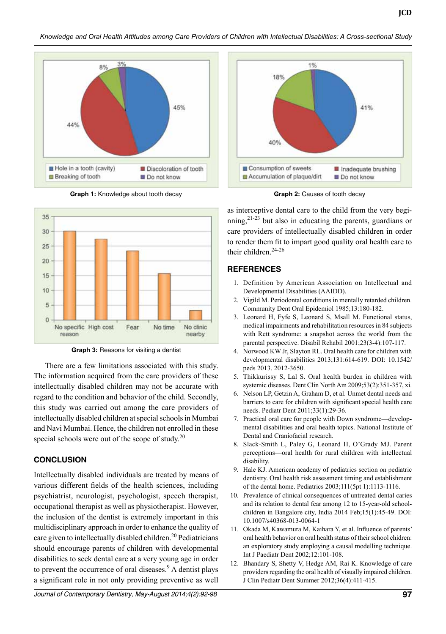

**Graph 1:** Knowledge about tooth decay **Graph 2:** Causes of tooth decay



**Graph 3:** Reasons for visiting a dentist

There are a few limitations associated with this study. The information acquired from the care providers of these intellectually disabled children may not be accurate with regard to the condition and behavior of the child. Secondly, this study was carried out among the care providers of intellectually disabled children at special schools in Mumbai and Navi Mumbai. Hence, the children not enrolled in these special schools were out of the scope of study.<sup>20</sup>

#### **CONCLUSION**

Intellectually disabled individuals are treated by means of various different fields of the health sciences, including psychiatrist, neurologist, psychologist, speech therapist, occupational therapist as well as physiotherapist. However, the inclusion of the dentist is extremely important in this multidisciplinary approach in order to enhance the quality of care given to intellectually disabled children.<sup>20</sup> Pediatricians should encourage parents of children with developmental disabilities to seek dental care at a very young age in order to prevent the occurrence of oral diseases. $9$  A dentist plays a significant role in not only providing preventive as well



as interceptive dental care to the child from the very beginning,  $2^{1-23}$  but also in educating the parents, guardians or care providers of intellectually disabled children in order to render them fit to impart good quality oral health care to their children. $24-26$ 

#### **REFERENCES**

- 1. Definition by American Association on Intellectual and Developmental Disabilities (AAIDD).
- 2. Vigild M. Periodontal conditions in mentally retarded children. Community Dent Oral Epidemiol 1985;13:180-182.
- 3. Leonard H, Fyfe S, Leonard S, Msall M. Functional status, medical impairments and rehabilitation resources in 84 subjects with Rett syndrome: a snapshot across the world from the parental perspective. Disabil Rehabil 2001;23(3-4):107-117.
- 4. Norwood KW Jr, Slayton RL. Oral health care for children with developmental disabilities 2013;131:614-619. DOI: 10.1542/ peds 2013. 2012-3650.
- 5. Thikkurissy S, Lal S. Oral health burden in children with systemic diseases. Dent Clin North Am 2009;53(2):351-357, xi.
- 6. Nelson LP, Getzin A, Graham D, et al. Unmet dental needs and barriers to care for children with significant special health care needs. Pediatr Dent 2011;33(1):29-36.
- 7. Practical oral care for people with Down syndrome—developmental disabilities and oral health topics. National Institute of Dental and Craniofacial research.
- 8. Slack-Smith L, Paley G, Leonard H, O'Grady MJ. Parent perceptions—oral health for rural children with intellectual disability.
- 9. Hale KJ. American academy of pediatrics section on pediatric dentistry. Oral health risk assessment timing and establishment of the dental home. Pediatrics 2003;111(5pt 1):1113-1116.
- 10. Prevalence of clinical consequences of untreated dental caries and its relation to dental fear among 12 to 15-year-old schoolchildren in Bangalore city, India 2014 Feb;15(1):45-49. DOI: 10.1007/s40368-013-0064-1
- 11. Okada M, Kawamura M, Kaihara Y, et al. Influence of parents' oral health behavior on oral health status of their school chidren: an exploratory study employing a causal modelling technique. Int J Paediatr Dent 2002;12:101-108.
- 12. Bhandary S, Shetty V, Hedge AM, Rai K. Knowledge of care providers regarding the oral health of visually impaired children. J Clin Pediatr Dent Summer 2012;36(4):411-415.